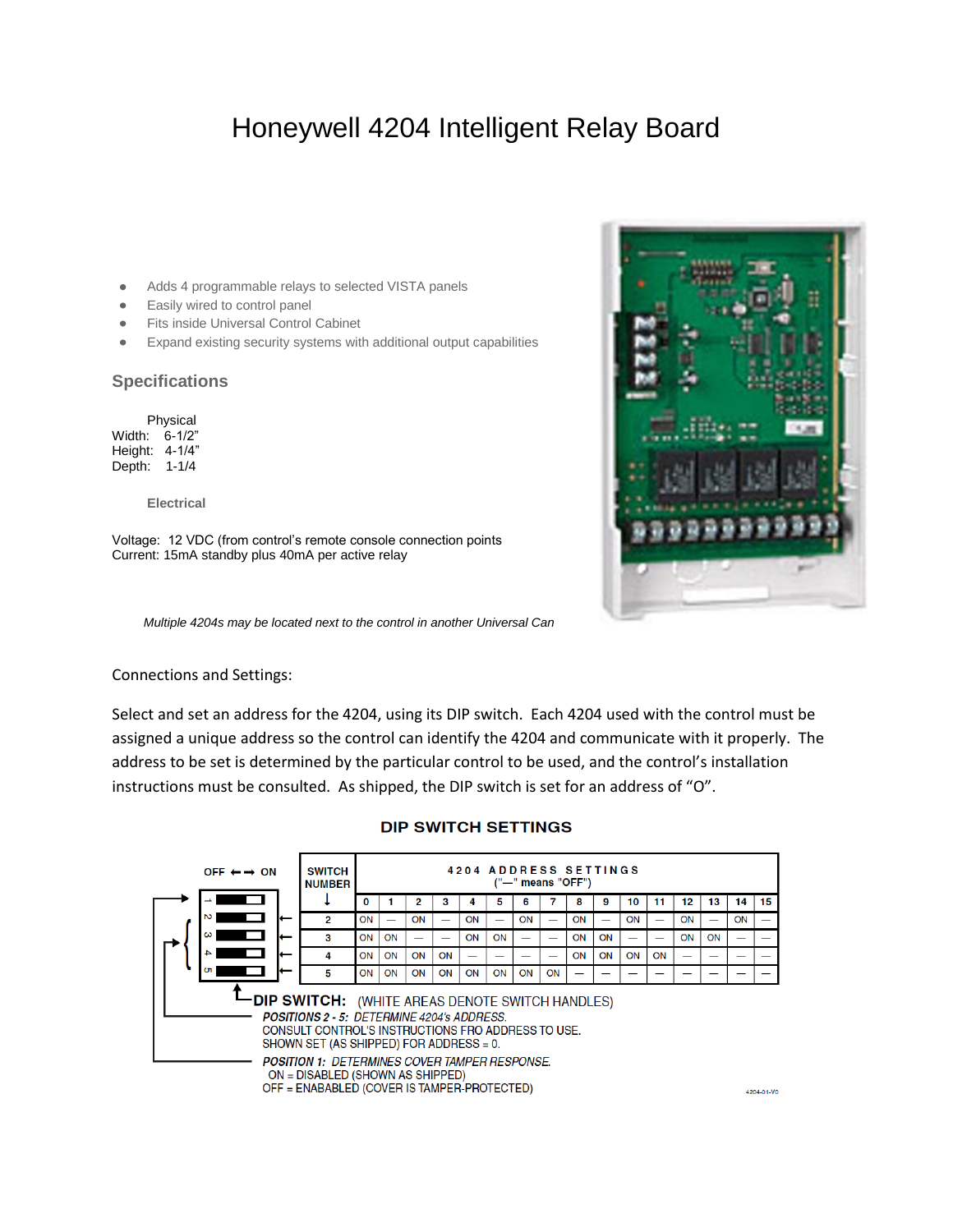## Honeywell 4204 Intelligent Relay Board

- Adds 4 programmable relays to selected VISTA panels  $\bullet$
- Easily wired to control panel  $\bullet$
- Fits inside Universal Control Cabinet  $\bullet$
- Expand existing security systems with additional output capabilities  $\bullet$

## **Specifications**

Physical Width: 6-1/2" Height: 4-1/4" Depth: 1-1/4

**Electrical**

Voltage: 12 VDC (from control's remote console connection points Current: 15mA standby plus 40mA per active relay

*Multiple 4204s may be located next to the control in another Universal Can*



Select and set an address for the 4204, using its DIP switch. Each 4204 used with the control must be assigned a unique address so the control can identify the 4204 and communicate with it properly. The address to be set is determined by the particular control to be used, and the control's installation instructions must be consulted. As shipped, the DIP switch is set for an address of "O".



## **DIP SWITCH SETTINGS**